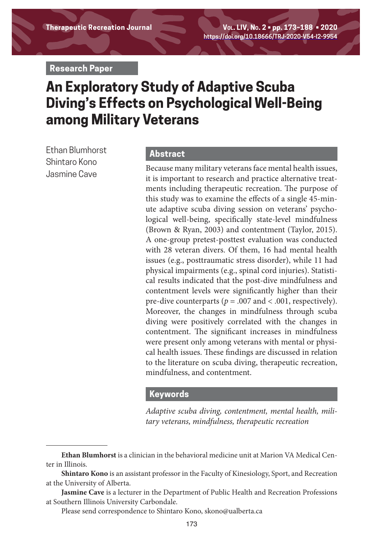**Therapeutic Recreation Journal Vol. LIV, No. 2 • pp. 173–188 • 2020 https://doi.org/10.18666/TRJ-2020-V54-I2-9954**

**Research Paper**

# **An Exploratory Study of Adaptive Scuba Diving's Effects on Psychological Well-Being among Military Veterans**

Ethan Blumhorst Shintaro Kono Jasmine Cave

# **Abstract**

Because many military veterans face mental health issues, it is important to research and practice alternative treatments including therapeutic recreation. The purpose of this study was to examine the effects of a single 45-minute adaptive scuba diving session on veterans' psychological well-being, specifically state-level mindfulness (Brown & Ryan, 2003) and contentment (Taylor, 2015). A one-group pretest-posttest evaluation was conducted with 28 veteran divers. Of them, 16 had mental health issues (e.g., posttraumatic stress disorder), while 11 had physical impairments (e.g., spinal cord injuries). Statistical results indicated that the post-dive mindfulness and contentment levels were significantly higher than their pre-dive counterparts ( $p = .007$  and < .001, respectively). Moreover, the changes in mindfulness through scuba diving were positively correlated with the changes in contentment. The significant increases in mindfulness were present only among veterans with mental or physical health issues. These findings are discussed in relation to the literature on scuba diving, therapeutic recreation, mindfulness, and contentment.

#### **Keywords**

*Adaptive scuba diving, contentment, mental health, military veterans, mindfulness, therapeutic recreation* 

**Ethan Blumhorst** is a clinician in the behavioral medicine unit at Marion VA Medical Center in Illinois.

**Shintaro Kono** is an assistant professor in the Faculty of Kinesiology, Sport, and Recreation at the University of Alberta.

**Jasmine Cave** is a lecturer in the Department of Public Health and Recreation Professions at Southern Illinois University Carbondale.

Please send correspondence to Shintaro Kono, skono@ualberta.ca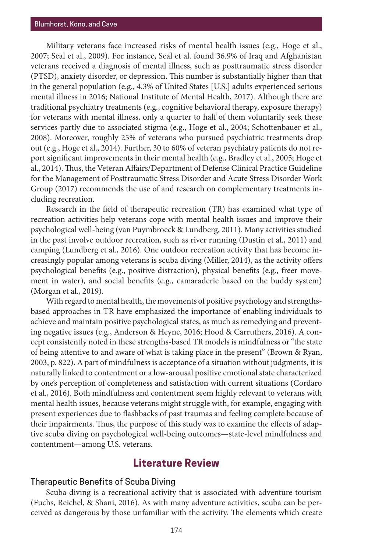Military veterans face increased risks of mental health issues (e.g., Hoge et al., 2007; Seal et al., 2009). For instance, Seal et al. found 36.9% of Iraq and Afghanistan veterans received a diagnosis of mental illness, such as posttraumatic stress disorder (PTSD), anxiety disorder, or depression. This number is substantially higher than that in the general population (e.g., 4.3% of United States [U.S.] adults experienced serious mental illness in 2016; National Institute of Mental Health, 2017). Although there are traditional psychiatry treatments (e.g., cognitive behavioral therapy, exposure therapy) for veterans with mental illness, only a quarter to half of them voluntarily seek these services partly due to associated stigma (e.g., Hoge et al., 2004; Schottenbauer et al., 2008). Moreover, roughly 25% of veterans who pursued psychiatric treatments drop out (e.g., Hoge et al., 2014). Further, 30 to 60% of veteran psychiatry patients do not report significant improvements in their mental health (e.g., Bradley et al., 2005; Hoge et al., 2014). Thus, the Veteran Affairs/Department of Defense Clinical Practice Guideline for the Management of Posttraumatic Stress Disorder and Acute Stress Disorder Work Group (2017) recommends the use of and research on complementary treatments including recreation.

Research in the field of therapeutic recreation (TR) has examined what type of recreation activities help veterans cope with mental health issues and improve their psychological well-being (van Puymbroeck & Lundberg, 2011). Many activities studied in the past involve outdoor recreation, such as river running (Dustin et al., 2011) and camping (Lundberg et al., 2016). One outdoor recreation activity that has become increasingly popular among veterans is scuba diving (Miller, 2014), as the activity offers psychological benefits (e.g., positive distraction), physical benefits (e.g., freer movement in water), and social benefits (e.g., camaraderie based on the buddy system) (Morgan et al., 2019).

With regard to mental health, the movements of positive psychology and strengthsbased approaches in TR have emphasized the importance of enabling individuals to achieve and maintain positive psychological states, as much as remedying and preventing negative issues (e.g., Anderson & Heyne, 2016; Hood & Carruthers, 2016). A concept consistently noted in these strengths-based TR models is mindfulness or "the state of being attentive to and aware of what is taking place in the present" (Brown & Ryan, 2003, p. 822). A part of mindfulness is acceptance of a situation without judgments, it is naturally linked to contentment or a low-arousal positive emotional state characterized by one's perception of completeness and satisfaction with current situations (Cordaro et al., 2016). Both mindfulness and contentment seem highly relevant to veterans with mental health issues, because veterans might struggle with, for example, engaging with present experiences due to flashbacks of past traumas and feeling complete because of their impairments. Thus, the purpose of this study was to examine the effects of adaptive scuba diving on psychological well-being outcomes—state-level mindfulness and contentment—among U.S. veterans.

# **Literature Review**

## Therapeutic Benefits of Scuba Diving

Scuba diving is a recreational activity that is associated with adventure tourism (Fuchs, Reichel, & Shani, 2016). As with many adventure activities, scuba can be perceived as dangerous by those unfamiliar with the activity. The elements which create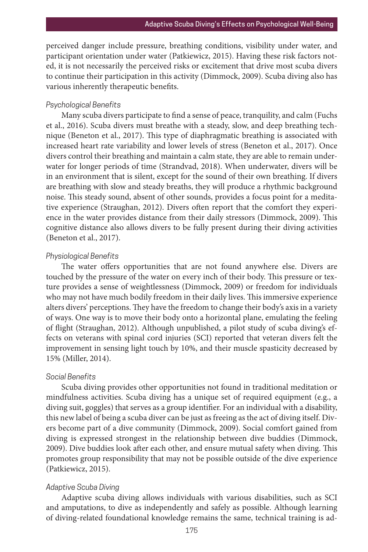perceived danger include pressure, breathing conditions, visibility under water, and participant orientation under water (Patkiewicz, 2015). Having these risk factors noted, it is not necessarily the perceived risks or excitement that drive most scuba divers to continue their participation in this activity (Dimmock, 2009). Scuba diving also has various inherently therapeutic benefits.

#### *Psychological Benefits*

Many scuba divers participate to find a sense of peace, tranquility, and calm (Fuchs et al., 2016). Scuba divers must breathe with a steady, slow, and deep breathing technique (Beneton et al., 2017). This type of diaphragmatic breathing is associated with increased heart rate variability and lower levels of stress (Beneton et al., 2017). Once divers control their breathing and maintain a calm state, they are able to remain underwater for longer periods of time (Strandvad, 2018). When underwater, divers will be in an environment that is silent, except for the sound of their own breathing. If divers are breathing with slow and steady breaths, they will produce a rhythmic background noise. This steady sound, absent of other sounds, provides a focus point for a meditative experience (Straughan, 2012). Divers often report that the comfort they experience in the water provides distance from their daily stressors (Dimmock, 2009). This cognitive distance also allows divers to be fully present during their diving activities (Beneton et al., 2017).

#### *Physiological Benefits*

The water offers opportunities that are not found anywhere else. Divers are touched by the pressure of the water on every inch of their body. This pressure or texture provides a sense of weightlessness (Dimmock, 2009) or freedom for individuals who may not have much bodily freedom in their daily lives. This immersive experience alters divers' perceptions. They have the freedom to change their body's axis in a variety of ways. One way is to move their body onto a horizontal plane, emulating the feeling of flight (Straughan, 2012). Although unpublished, a pilot study of scuba diving's effects on veterans with spinal cord injuries (SCI) reported that veteran divers felt the improvement in sensing light touch by 10%, and their muscle spasticity decreased by 15% (Miller, 2014).

#### *Social Benefits*

Scuba diving provides other opportunities not found in traditional meditation or mindfulness activities. Scuba diving has a unique set of required equipment (e.g., a diving suit, goggles) that serves as a group identifier. For an individual with a disability, this new label of being a scuba diver can be just as freeing as the act of diving itself. Divers become part of a dive community (Dimmock, 2009). Social comfort gained from diving is expressed strongest in the relationship between dive buddies (Dimmock, 2009). Dive buddies look after each other, and ensure mutual safety when diving. This promotes group responsibility that may not be possible outside of the dive experience (Patkiewicz, 2015).

#### *Adaptive Scuba Diving*

Adaptive scuba diving allows individuals with various disabilities, such as SCI and amputations, to dive as independently and safely as possible. Although learning of diving-related foundational knowledge remains the same, technical training is ad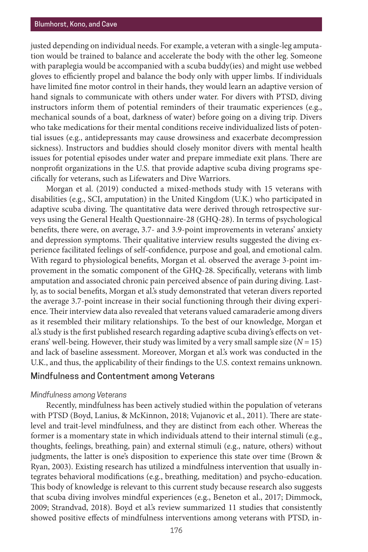justed depending on individual needs. For example, a veteran with a single-leg amputation would be trained to balance and accelerate the body with the other leg. Someone with paraplegia would be accompanied with a scuba buddy(ies) and might use webbed gloves to efficiently propel and balance the body only with upper limbs. If individuals have limited fine motor control in their hands, they would learn an adaptive version of hand signals to communicate with others under water. For divers with PTSD, diving instructors inform them of potential reminders of their traumatic experiences (e.g., mechanical sounds of a boat, darkness of water) before going on a diving trip. Divers who take medications for their mental conditions receive individualized lists of potential issues (e.g., antidepressants may cause drowsiness and exacerbate decompression sickness). Instructors and buddies should closely monitor divers with mental health issues for potential episodes under water and prepare immediate exit plans. There are nonprofit organizations in the U.S. that provide adaptive scuba diving programs specifically for veterans, such as Lifewaters and Dive Warriors.

Morgan et al. (2019) conducted a mixed-methods study with 15 veterans with disabilities (e.g., SCI, amputation) in the United Kingdom (U.K.) who participated in adaptive scuba diving. The quantitative data were derived through retrospective surveys using the General Health Questionnaire-28 (GHQ-28). In terms of psychological benefits, there were, on average, 3.7- and 3.9-point improvements in veterans' anxiety and depression symptoms. Their qualitative interview results suggested the diving experience facilitated feelings of self-confidence, purpose and goal, and emotional calm. With regard to physiological benefits, Morgan et al. observed the average 3-point improvement in the somatic component of the GHQ-28. Specifically, veterans with limb amputation and associated chronic pain perceived absence of pain during diving. Lastly, as to social benefits, Morgan et al.'s study demonstrated that veteran divers reported the average 3.7-point increase in their social functioning through their diving experience. Their interview data also revealed that veterans valued camaraderie among divers as it resembled their military relationships. To the best of our knowledge, Morgan et al.'s study is the first published research regarding adaptive scuba diving's effects on veterans' well-being. However, their study was limited by a very small sample size  $(N = 15)$ and lack of baseline assessment. Moreover, Morgan et al.'s work was conducted in the U.K., and thus, the applicability of their findings to the U.S. context remains unknown.

## Mindfulness and Contentment among Veterans

#### *Mindfulness among Veterans*

Recently, mindfulness has been actively studied within the population of veterans with PTSD (Boyd, Lanius, & McKinnon, 2018; Vujanovic et al., 2011). There are statelevel and trait-level mindfulness, and they are distinct from each other. Whereas the former is a momentary state in which individuals attend to their internal stimuli (e.g., thoughts, feelings, breathing, pain) and external stimuli (e.g., nature, others) without judgments, the latter is one's disposition to experience this state over time (Brown & Ryan, 2003). Existing research has utilized a mindfulness intervention that usually integrates behavioral modifications (e.g., breathing, meditation) and psycho-education. This body of knowledge is relevant to this current study because research also suggests that scuba diving involves mindful experiences (e.g., Beneton et al., 2017; Dimmock, 2009; Strandvad, 2018). Boyd et al.'s review summarized 11 studies that consistently showed positive effects of mindfulness interventions among veterans with PTSD, in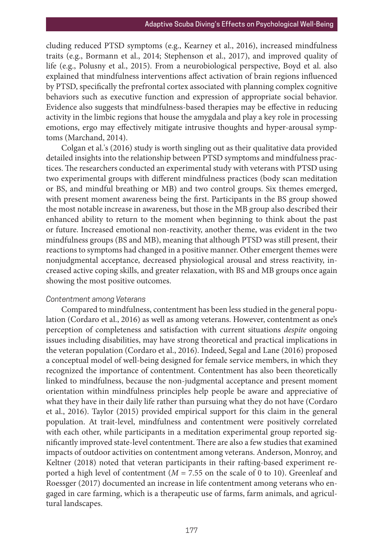cluding reduced PTSD symptoms (e.g., Kearney et al., 2016), increased mindfulness traits (e.g., Bormann et al., 2014; Stephenson et al., 2017), and improved quality of life (e.g., Polusny et al., 2015). From a neurobiological perspective, Boyd et al. also explained that mindfulness interventions affect activation of brain regions influenced by PTSD, specifically the prefrontal cortex associated with planning complex cognitive behaviors such as executive function and expression of appropriate social behavior. Evidence also suggests that mindfulness-based therapies may be effective in reducing activity in the limbic regions that house the amygdala and play a key role in processing emotions, ergo may effectively mitigate intrusive thoughts and hyper-arousal symptoms (Marchand, 2014).

Colgan et al.'s (2016) study is worth singling out as their qualitative data provided detailed insights into the relationship between PTSD symptoms and mindfulness practices. The researchers conducted an experimental study with veterans with PTSD using two experimental groups with different mindfulness practices (body scan meditation or BS, and mindful breathing or MB) and two control groups. Six themes emerged, with present moment awareness being the first. Participants in the BS group showed the most notable increase in awareness, but those in the MB group also described their enhanced ability to return to the moment when beginning to think about the past or future. Increased emotional non-reactivity, another theme, was evident in the two mindfulness groups (BS and MB), meaning that although PTSD was still present, their reactions to symptoms had changed in a positive manner. Other emergent themes were nonjudgmental acceptance, decreased physiological arousal and stress reactivity, increased active coping skills, and greater relaxation, with BS and MB groups once again showing the most positive outcomes.

## *Contentment among Veterans*

Compared to mindfulness, contentment has been less studied in the general population (Cordaro et al., 2016) as well as among veterans. However, contentment as one's perception of completeness and satisfaction with current situations *despite* ongoing issues including disabilities, may have strong theoretical and practical implications in the veteran population (Cordaro et al., 2016). Indeed, Segal and Lane (2016) proposed a conceptual model of well-being designed for female service members, in which they recognized the importance of contentment. Contentment has also been theoretically linked to mindfulness, because the non-judgmental acceptance and present moment orientation within mindfulness principles help people be aware and appreciative of what they have in their daily life rather than pursuing what they do not have (Cordaro et al., 2016). Taylor (2015) provided empirical support for this claim in the general population. At trait-level, mindfulness and contentment were positively correlated with each other, while participants in a meditation experimental group reported significantly improved state-level contentment. There are also a few studies that examined impacts of outdoor activities on contentment among veterans. Anderson, Monroy, and Keltner (2018) noted that veteran participants in their rafting-based experiment reported a high level of contentment (*M* = 7.55 on the scale of 0 to 10). Greenleaf and Roessger (2017) documented an increase in life contentment among veterans who engaged in care farming, which is a therapeutic use of farms, farm animals, and agricultural landscapes.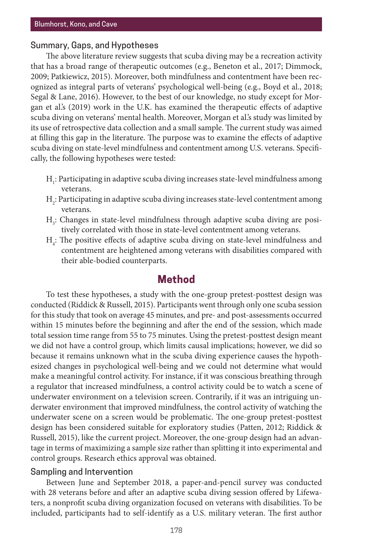## Summary, Gaps, and Hypotheses

The above literature review suggests that scuba diving may be a recreation activity that has a broad range of therapeutic outcomes (e.g., Beneton et al., 2017; Dimmock, 2009; Patkiewicz, 2015). Moreover, both mindfulness and contentment have been recognized as integral parts of veterans' psychological well-being (e.g., Boyd et al., 2018; Segal & Lane, 2016). However, to the best of our knowledge, no study except for Morgan et al.'s (2019) work in the U.K. has examined the therapeutic effects of adaptive scuba diving on veterans' mental health. Moreover, Morgan et al.'s study was limited by its use of retrospective data collection and a small sample. The current study was aimed at filling this gap in the literature. The purpose was to examine the effects of adaptive scuba diving on state-level mindfulness and contentment among U.S. veterans. Specifically, the following hypotheses were tested:

- $\rm H_i$ : Participating in adaptive scuba diving increases state-level mindfulness among veterans.
- $\rm{H}_{2}$ : Participating in adaptive scuba diving increases state-level contentment among veterans.
- $H_3$ : Changes in state-level mindfulness through adaptive scuba diving are positively correlated with those in state-level contentment among veterans.
- $H_4$ : The positive effects of adaptive scuba diving on state-level mindfulness and contentment are heightened among veterans with disabilities compared with their able-bodied counterparts.

# **Method**

To test these hypotheses, a study with the one-group pretest-posttest design was conducted (Riddick & Russell, 2015). Participants went through only one scuba session for this study that took on average 45 minutes, and pre- and post-assessments occurred within 15 minutes before the beginning and after the end of the session, which made total session time range from 55 to 75 minutes. Using the pretest-posttest design meant we did not have a control group, which limits causal implications; however, we did so because it remains unknown what in the scuba diving experience causes the hypothesized changes in psychological well-being and we could not determine what would make a meaningful control activity. For instance, if it was conscious breathing through a regulator that increased mindfulness, a control activity could be to watch a scene of underwater environment on a television screen. Contrarily, if it was an intriguing underwater environment that improved mindfulness, the control activity of watching the underwater scene on a screen would be problematic. The one-group pretest-posttest design has been considered suitable for exploratory studies (Patten, 2012; Riddick & Russell, 2015), like the current project. Moreover, the one-group design had an advantage in terms of maximizing a sample size rather than splitting it into experimental and control groups. Research ethics approval was obtained.

# Sampling and Intervention

Between June and September 2018, a paper-and-pencil survey was conducted with 28 veterans before and after an adaptive scuba diving session offered by Lifewaters, a nonprofit scuba diving organization focused on veterans with disabilities. To be included, participants had to self-identify as a U.S. military veteran. The first author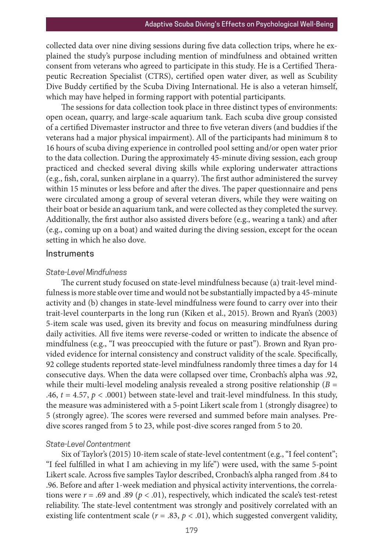collected data over nine diving sessions during five data collection trips, where he explained the study's purpose including mention of mindfulness and obtained written consent from veterans who agreed to participate in this study. He is a Certified Therapeutic Recreation Specialist (CTRS), certified open water diver, as well as Scubility Dive Buddy certified by the Scuba Diving International. He is also a veteran himself, which may have helped in forming rapport with potential participants.

The sessions for data collection took place in three distinct types of environments: open ocean, quarry, and large-scale aquarium tank. Each scuba dive group consisted of a certified Divemaster instructor and three to five veteran divers (and buddies if the veterans had a major physical impairment). All of the participants had minimum 8 to 16 hours of scuba diving experience in controlled pool setting and/or open water prior to the data collection. During the approximately 45-minute diving session, each group practiced and checked several diving skills while exploring underwater attractions (e.g., fish, coral, sunken airplane in a quarry). The first author administered the survey within 15 minutes or less before and after the dives. The paper questionnaire and pens were circulated among a group of several veteran divers, while they were waiting on their boat or beside an aquarium tank, and were collected as they completed the survey. Additionally, the first author also assisted divers before (e.g., wearing a tank) and after (e.g., coming up on a boat) and waited during the diving session, except for the ocean setting in which he also dove.

#### Instruments

## *State-Level Mindfulness*

The current study focused on state-level mindfulness because (a) trait-level mindfulness is more stable over time and would not be substantially impacted by a 45-minute activity and (b) changes in state-level mindfulness were found to carry over into their trait-level counterparts in the long run (Kiken et al., 2015). Brown and Ryan's (2003) 5-item scale was used, given its brevity and focus on measuring mindfulness during daily activities. All five items were reverse-coded or written to indicate the absence of mindfulness (e.g., "I was preoccupied with the future or past"). Brown and Ryan provided evidence for internal consistency and construct validity of the scale. Specifically, 92 college students reported state-level mindfulness randomly three times a day for 14 consecutive days. When the data were collapsed over time, Cronbach's alpha was .92, while their multi-level modeling analysis revealed a strong positive relationship  $(B =$ .46,  $t = 4.57$ ,  $p < .0001$ ) between state-level and trait-level mindfulness. In this study, the measure was administered with a 5-point Likert scale from 1 (strongly disagree) to 5 (strongly agree). The scores were reversed and summed before main analyses. Predive scores ranged from 5 to 23, while post-dive scores ranged from 5 to 20.

#### *State-Level Contentment*

Six of Taylor's (2015) 10-item scale of state-level contentment (e.g., "I feel content"; "I feel fulfilled in what I am achieving in my life") were used, with the same 5-point Likert scale. Across five samples Taylor described, Cronbach's alpha ranged from .84 to .96. Before and after 1-week mediation and physical activity interventions, the correlations were  $r = .69$  and  $.89$  ( $p < .01$ ), respectively, which indicated the scale's test-retest reliability. The state-level contentment was strongly and positively correlated with an existing life contentment scale ( $r = .83$ ,  $p < .01$ ), which suggested convergent validity,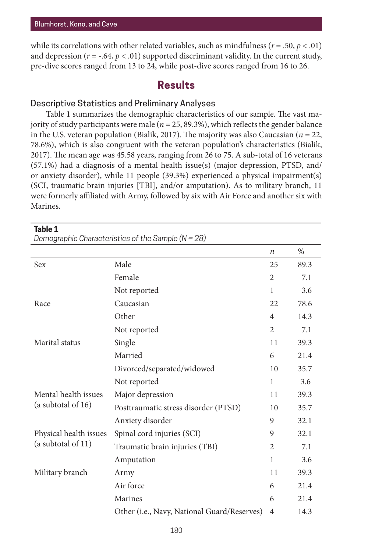**Table 1**

while its correlations with other related variables, such as mindfulness ( $r = .50$ ,  $p < .01$ ) and depression ( $r = -.64$ ,  $p < .01$ ) supported discriminant validity. In the current study, pre-dive scores ranged from 13 to 24, while post-dive scores ranged from 16 to 26.

# **Results**

# Descriptive Statistics and Preliminary Analyses

Table 1 summarizes the demographic characteristics of our sample. The vast majority of study participants were male (*n* = 25, 89.3%), which reflects the gender balance in the U.S. veteran population (Bialik, 2017). The majority was also Caucasian (*n* = 22, 78.6%), which is also congruent with the veteran population's characteristics (Bialik, 2017). The mean age was 45.58 years, ranging from 26 to 75. A sub-total of 16 veterans (57.1%) had a diagnosis of a mental health issue(s) (major depression, PTSD, and/ or anxiety disorder), while 11 people (39.3%) experienced a physical impairment(s) (SCI, traumatic brain injuries [TBI], and/or amputation). As to military branch, 11 were formerly affiliated with Army, followed by six with Air Force and another six with Marines.

*Demographic Characteristics of the Sample (N = 28)*

|                                              |                                             | $\boldsymbol{n}$ | $\%$ |
|----------------------------------------------|---------------------------------------------|------------------|------|
| Sex                                          | Male                                        | 25               | 89.3 |
|                                              | Female                                      | $\overline{c}$   | 7.1  |
|                                              | Not reported                                | 1                | 3.6  |
| Race                                         | Caucasian                                   | 22               | 78.6 |
|                                              | Other                                       | 4                | 14.3 |
|                                              | Not reported                                | $\overline{c}$   | 7.1  |
| Marital status                               | Single                                      |                  | 39.3 |
|                                              | Married                                     | 6                | 21.4 |
|                                              | Divorced/separated/widowed                  | 10               | 35.7 |
|                                              | Not reported                                | 1                | 3.6  |
| Mental health issues<br>(a subtotal of 16)   | Major depression                            | 11               | 39.3 |
|                                              | Posttraumatic stress disorder (PTSD)        |                  | 35.7 |
|                                              | Anxiety disorder                            | 9                | 32.1 |
| Physical health issues<br>(a subtotal of 11) | Spinal cord injuries (SCI)                  |                  | 32.1 |
|                                              | Traumatic brain injuries (TBI)              |                  | 7.1  |
|                                              | Amputation                                  | $\mathbf{1}$     | 3.6  |
| Military branch                              | Army                                        |                  | 39.3 |
|                                              | Air force                                   | 6                | 21.4 |
|                                              | Marines                                     | 6                | 21.4 |
|                                              | Other (i.e., Navy, National Guard/Reserves) | $\overline{4}$   | 14.3 |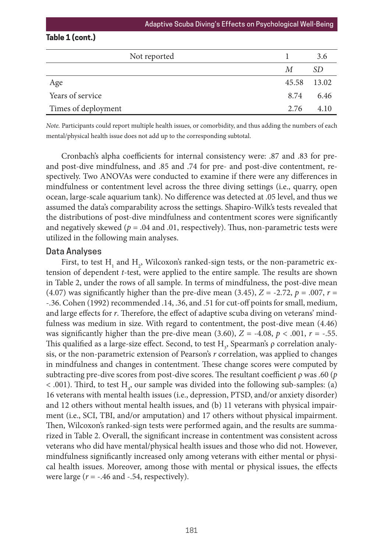# **Table 1 (cont.)**

| Not reported        |             | 3.6  |
|---------------------|-------------|------|
|                     | М           | SD.  |
| Age                 | 45.58 13.02 |      |
| Years of service    | 8.74        | 6.46 |
| Times of deployment | 2.76        | 4.10 |

*Note.* Participants could report multiple health issues, or comorbidity, and thus adding the numbers of each mental/physical health issue does not add up to the corresponding subtotal.

Cronbach's alpha coefficients for internal consistency were: .87 and .83 for preand post-dive mindfulness, and .85 and .74 for pre- and post-dive contentment, respectively. Two ANOVAs were conducted to examine if there were any differences in mindfulness or contentment level across the three diving settings (i.e., quarry, open ocean, large-scale aquarium tank). No difference was detected at .05 level, and thus we assumed the data's comparability across the settings. Shapiro-Wilk's tests revealed that the distributions of post-dive mindfulness and contentment scores were significantly and negatively skewed ( $p = .04$  and  $.01$ , respectively). Thus, non-parametric tests were utilized in the following main analyses.

#### Data Analyses

First, to test  $\mathrm{H}_{_{1}}$  and  $\mathrm{H}_{_{2}}$ , Wilcoxon's ranked-sign tests, or the non-parametric extension of dependent *t*-test, were applied to the entire sample. The results are shown in Table 2, under the rows of all sample. In terms of mindfulness, the post-dive mean (4.07) was significantly higher than the pre-dive mean (3.45),  $Z = -2.72$ ,  $p = .007$ ,  $r =$ -.36. Cohen (1992) recommended .14, .36, and .51 for cut-off points for small, medium, and large effects for *r*. Therefore, the effect of adaptive scuba diving on veterans' mindfulness was medium in size. With regard to contentment, the post-dive mean (4.46) was significantly higher than the pre-dive mean  $(3.60)$ ,  $Z = -4.08$ ,  $p < .001$ ,  $r = -.55$ . This qualified as a large-size effect. Second, to test  $\mathrm{H}_\mathfrak{z}$ , Spearman's  $\rho$  correlation analysis, or the non-parametric extension of Pearson's *r* correlation, was applied to changes in mindfulness and changes in contentment. These change scores were computed by subtracting pre-dive scores from post-dive scores. The resultant coefficient ρ was .60 (*p*  $<$  .001). Third, to test H<sub>4</sub>, our sample was divided into the following sub-samples: (a) 16 veterans with mental health issues (i.e., depression, PTSD, and/or anxiety disorder) and 12 others without mental health issues, and (b) 11 veterans with physical impairment (i.e., SCI, TBI, and/or amputation) and 17 others without physical impairment. Then, Wilcoxon's ranked-sign tests were performed again, and the results are summarized in Table 2. Overall, the significant increase in contentment was consistent across veterans who did have mental/physical health issues and those who did not. However, mindfulness significantly increased only among veterans with either mental or physical health issues. Moreover, among those with mental or physical issues, the effects were large  $(r = -.46$  and  $-.54$ , respectively).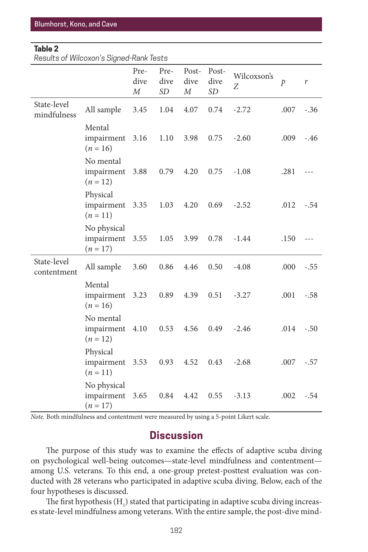## **Table 2**

*Results of Wilcoxon's Signed-Rank Tests*

|                            |                                            | Pre-<br>dive<br>$\cal M$ | Pre-<br>dive<br>SD <sub></sub> | Post-<br>dive<br>$\boldsymbol{M}$ | Post-<br>dive<br>SD <sub></sub> | Wilcoxson's<br>Ζ | $\mathcal{P}$ | r      |
|----------------------------|--------------------------------------------|--------------------------|--------------------------------|-----------------------------------|---------------------------------|------------------|---------------|--------|
| State-level<br>mindfulness | All sample                                 | 3.45                     | 1.04                           | 4.07                              | 0.74                            | $-2.72$          | .007          | $-.36$ |
|                            | Mental<br>impairment<br>$(n = 16)$         | 3.16                     | 1.10                           | 3.98                              | 0.75                            | $-2.60$          | .009          | $-.46$ |
|                            | No mental<br>impairment 3.88<br>$(n = 12)$ |                          | 0.79                           | 4.20                              | 0.75                            | $-1.08$          | .281          | $---$  |
|                            | Physical<br>impairment<br>$(n = 11)$       | 3.35                     | 1.03                           | 4.20                              | 0.69                            | $-2.52$          | .012          | $-.54$ |
|                            | No physical<br>impairment<br>$(n = 17)$    | 3.55                     | 1.05                           | 3.99                              | 0.78                            | $-1.44$          | .150          |        |
| State-level<br>contentment | All sample                                 | 3.60                     | 0.86                           | 4.46                              | 0.50                            | $-4.08$          | .000          | $-.55$ |
|                            | Mental<br>impairment 3.23<br>$(n = 16)$    |                          | 0.89                           | 4.39                              | 0.51                            | $-3.27$          | .001          | $-.58$ |
|                            | No mental<br>impairment<br>$(n = 12)$      | 4.10                     | 0.53                           | 4.56                              | 0.49                            | $-2.46$          | .014          | $-.50$ |
|                            | Physical<br>impairment<br>$(n = 11)$       | 3.53                     | 0.93                           | 4.52                              | 0.43                            | $-2.68$          | .007          | $-.57$ |
|                            | No physical<br>impairment<br>$(n = 17)$    | 3.65                     | 0.84                           | 4.42                              | 0.55                            | $-3.13$          | .002          | $-.54$ |

*Note.* Both mindfulness and contentment were measured by using a 5-point Likert scale.

# **Discussion**

The purpose of this study was to examine the effects of adaptive scuba diving on psychological well-being outcomes—state-level mindfulness and contentment among U.S. veterans. To this end, a one-group pretest-posttest evaluation was conducted with 28 veterans who participated in adaptive scuba diving. Below, each of the four hypotheses is discussed.

The first hypothesis  $\rm(H_{_{1}})$  stated that participating in adaptive scuba diving increases state-level mindfulness among veterans. With the entire sample, the post-dive mind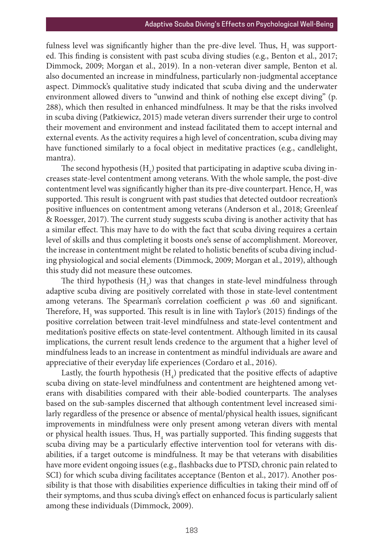fulness level was significantly higher than the pre-dive level. Thus,  $\mathrm{H_{_{1}}}$  was supported. This finding is consistent with past scuba diving studies (e.g., Benton et al., 2017; Dimmock, 2009; Morgan et al., 2019). In a non-veteran diver sample, Benton et al. also documented an increase in mindfulness, particularly non-judgmental acceptance aspect. Dimmock's qualitative study indicated that scuba diving and the underwater environment allowed divers to "unwind and think of nothing else except diving" (p. 288), which then resulted in enhanced mindfulness. It may be that the risks involved in scuba diving (Patkiewicz, 2015) made veteran divers surrender their urge to control their movement and environment and instead facilitated them to accept internal and external events. As the activity requires a high level of concentration, scuba diving may have functioned similarly to a focal object in meditative practices (e.g., candlelight, mantra).

The second hypothesis  $\rm(H_{2})$  posited that participating in adaptive scuba diving increases state-level contentment among veterans. With the whole sample, the post-dive contentment level was significantly higher than its pre-dive counterpart. Hence,  $\mathrm{H}_\mathrm{2}$  was supported. This result is congruent with past studies that detected outdoor recreation's positive influences on contentment among veterans (Anderson et al., 2018; Greenleaf & Roessger, 2017). The current study suggests scuba diving is another activity that has a similar effect. This may have to do with the fact that scuba diving requires a certain level of skills and thus completing it boosts one's sense of accomplishment. Moreover, the increase in contentment might be related to holistic benefits of scuba diving including physiological and social elements (Dimmock, 2009; Morgan et al., 2019), although this study did not measure these outcomes.

The third hypothesis  $(H_3)$  was that changes in state-level mindfulness through adaptive scuba diving are positively correlated with those in state-level contentment among veterans. The Spearman's correlation coefficient ρ was .60 and significant. Therefore,  $\text{H}_{\text{3}}$  was supported. This result is in line with Taylor's (2015) findings of the positive correlation between trait-level mindfulness and state-level contentment and meditation's positive effects on state-level contentment. Although limited in its causal implications, the current result lends credence to the argument that a higher level of mindfulness leads to an increase in contentment as mindful individuals are aware and appreciative of their everyday life experiences (Cordaro et al., 2016).

Lastly, the fourth hypothesis  $(H_4)$  predicated that the positive effects of adaptive scuba diving on state-level mindfulness and contentment are heightened among veterans with disabilities compared with their able-bodied counterparts. The analyses based on the sub-samples discerned that although contentment level increased similarly regardless of the presence or absence of mental/physical health issues, significant improvements in mindfulness were only present among veteran divers with mental or physical health issues. Thus,  $\text{H}_\text{4}$  was partially supported. This finding suggests that scuba diving may be a particularly effective intervention tool for veterans with disabilities, if a target outcome is mindfulness. It may be that veterans with disabilities have more evident ongoing issues (e.g., flashbacks due to PTSD, chronic pain related to SCI) for which scuba diving facilitates acceptance (Benton et al., 2017). Another possibility is that those with disabilities experience difficulties in taking their mind off of their symptoms, and thus scuba diving's effect on enhanced focus is particularly salient among these individuals (Dimmock, 2009).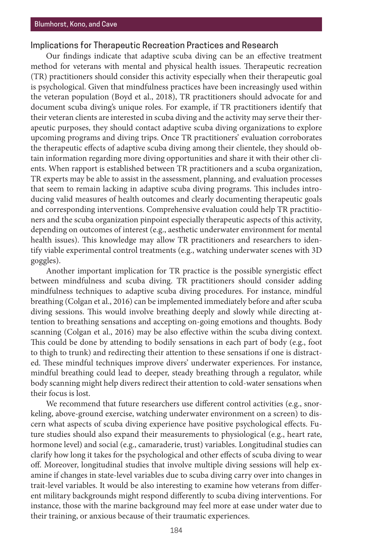## Implications for Therapeutic Recreation Practices and Research

Our findings indicate that adaptive scuba diving can be an effective treatment method for veterans with mental and physical health issues. Therapeutic recreation (TR) practitioners should consider this activity especially when their therapeutic goal is psychological. Given that mindfulness practices have been increasingly used within the veteran population (Boyd et al., 2018), TR practitioners should advocate for and document scuba diving's unique roles. For example, if TR practitioners identify that their veteran clients are interested in scuba diving and the activity may serve their therapeutic purposes, they should contact adaptive scuba diving organizations to explore upcoming programs and diving trips. Once TR practitioners' evaluation corroborates the therapeutic effects of adaptive scuba diving among their clientele, they should obtain information regarding more diving opportunities and share it with their other clients. When rapport is established between TR practitioners and a scuba organization, TR experts may be able to assist in the assessment, planning, and evaluation processes that seem to remain lacking in adaptive scuba diving programs. This includes introducing valid measures of health outcomes and clearly documenting therapeutic goals and corresponding interventions. Comprehensive evaluation could help TR practitioners and the scuba organization pinpoint especially therapeutic aspects of this activity, depending on outcomes of interest (e.g., aesthetic underwater environment for mental health issues). This knowledge may allow TR practitioners and researchers to identify viable experimental control treatments (e.g., watching underwater scenes with 3D goggles).

Another important implication for TR practice is the possible synergistic effect between mindfulness and scuba diving. TR practitioners should consider adding mindfulness techniques to adaptive scuba diving procedures. For instance, mindful breathing (Colgan et al., 2016) can be implemented immediately before and after scuba diving sessions. This would involve breathing deeply and slowly while directing attention to breathing sensations and accepting on-going emotions and thoughts. Body scanning (Colgan et al., 2016) may be also effective within the scuba diving context. This could be done by attending to bodily sensations in each part of body (e.g., foot to thigh to trunk) and redirecting their attention to these sensations if one is distracted. These mindful techniques improve divers' underwater experiences. For instance, mindful breathing could lead to deeper, steady breathing through a regulator, while body scanning might help divers redirect their attention to cold-water sensations when their focus is lost.

We recommend that future researchers use different control activities (e.g., snorkeling, above-ground exercise, watching underwater environment on a screen) to discern what aspects of scuba diving experience have positive psychological effects. Future studies should also expand their measurements to physiological (e.g., heart rate, hormone level) and social (e.g., camaraderie, trust) variables. Longitudinal studies can clarify how long it takes for the psychological and other effects of scuba diving to wear off. Moreover, longitudinal studies that involve multiple diving sessions will help examine if changes in state-level variables due to scuba diving carry over into changes in trait-level variables. It would be also interesting to examine how veterans from different military backgrounds might respond differently to scuba diving interventions. For instance, those with the marine background may feel more at ease under water due to their training, or anxious because of their traumatic experiences.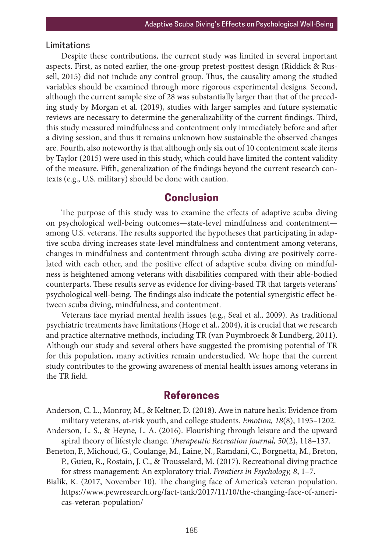# Limitations

Despite these contributions, the current study was limited in several important aspects. First, as noted earlier, the one-group pretest-posttest design (Riddick & Russell, 2015) did not include any control group. Thus, the causality among the studied variables should be examined through more rigorous experimental designs. Second, although the current sample size of 28 was substantially larger than that of the preceding study by Morgan et al. (2019), studies with larger samples and future systematic reviews are necessary to determine the generalizability of the current findings. Third, this study measured mindfulness and contentment only immediately before and after a diving session, and thus it remains unknown how sustainable the observed changes are. Fourth, also noteworthy is that although only six out of 10 contentment scale items by Taylor (2015) were used in this study, which could have limited the content validity of the measure. Fifth, generalization of the findings beyond the current research contexts (e.g., U.S. military) should be done with caution.

# **Conclusion**

The purpose of this study was to examine the effects of adaptive scuba diving on psychological well-being outcomes—state-level mindfulness and contentment among U.S. veterans. The results supported the hypotheses that participating in adaptive scuba diving increases state-level mindfulness and contentment among veterans, changes in mindfulness and contentment through scuba diving are positively correlated with each other, and the positive effect of adaptive scuba diving on mindfulness is heightened among veterans with disabilities compared with their able-bodied counterparts. These results serve as evidence for diving-based TR that targets veterans' psychological well-being. The findings also indicate the potential synergistic effect between scuba diving, mindfulness, and contentment.

Veterans face myriad mental health issues (e.g., Seal et al., 2009). As traditional psychiatric treatments have limitations (Hoge et al., 2004), it is crucial that we research and practice alternative methods, including TR (van Puymbroeck & Lundberg, 2011). Although our study and several others have suggested the promising potential of TR for this population, many activities remain understudied. We hope that the current study contributes to the growing awareness of mental health issues among veterans in the TR field.

# **References**

- Anderson, C. L., Monroy, M., & Keltner, D. (2018). Awe in nature heals: Evidence from military veterans, at-risk youth, and college students. *Emotion, 18*(8), 1195–1202.
- Anderson, L. S., & Heyne, L. A. (2016). Flourishing through leisure and the upward spiral theory of lifestyle change. *Therapeutic Recreation Journal, 50*(2), 118–137.
- Beneton, F., Michoud, G., Coulange, M., Laine, N., Ramdani, C., Borgnetta, M., Breton, P., Guieu, R., Rostain, J. C., & Trousselard, M. (2017). Recreational diving practice for stress management: An exploratory trial. *Frontiers in Psychology, 8*, 1–7.
- Bialik, K. (2017, November 10). The changing face of America's veteran population. https://www.pewresearch.org/fact-tank/2017/11/10/the-changing-face-of-americas-veteran-population/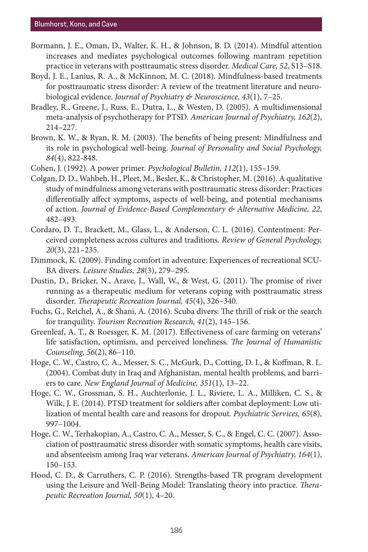- Bormann, J. E., Oman, D., Walter, K. H., & Johnson, B. D. (2014). Mindful attention increases and mediates psychological outcomes following mantram repetition practice in veterans with posttraumatic stress disorder. *Medical Care, 52*, S13–S18.
- Boyd, J. E., Lanius, R. A., & McKinnon, M. C. (2018). Mindfulness-based treatments for posttraumatic stress disorder: A review of the treatment literature and neurobiological evidence. *Journal of Psychiatry & Neuroscience, 43*(1), 7–25.
- Bradley, R., Greene, J., Russ, E., Dutra, L., & Westen, D. (2005). A multidimensional meta-analysis of psychotherapy for PTSD. *American Journal of Psychiatry, 162*(2), 214–227.
- Brown, K. W., & Ryan, R. M. (2003). The benefits of being present: Mindfulness and its role in psychological well-being. *Journal of Personality and Social Psychology, 84*(4), 822-848.
- Cohen, J. (1992). A power primer. *Psychological Bulletin, 112*(1), 155–159.
- Colgan, D. D., Wahbeh, H., Pleet, M., Besler, K., & Christopher, M. (2016). A qualitative study of mindfulness among veterans with posttraumatic stress disorder: Practices differentially affect symptoms, aspects of well-being, and potential mechanisms of action. *Journal of Evidence-Based Complementary & Alternative Medicine, 22*, 482–493.
- Cordaro, D. T., Brackett, M., Glass, L., & Anderson, C. L. (2016). Contentment: Perceived completeness across cultures and traditions. *Review of General Psychology, 20*(3), 221–235.
- Dimmock, K. (2009). Finding comfort in adventure: Experiences of recreational SCU-BA divers. *Leisure Studies, 28*(3), 279–295.
- Dustin, D., Bricker, N., Arave, J., Wall, W., & West, G. (2011). The promise of river running as a therapeutic medium for veterans coping with posttraumatic stress disorder. *Therapeutic Recreation Journal, 45*(4), 326–340.
- Fuchs, G., Reichel, A., & Shani, A. (2016). Scuba divers: The thrill of risk or the search for tranquility. *Tourism Recreation Research, 41*(2), 145–156.
- Greenleaf, A. T., & Roessger, K. M. (2017). Effectiveness of care farming on veterans' life satisfaction, optimism, and perceived loneliness. *The Journal of Humanistic Counseling, 56*(2), 86–110.
- Hoge, C. W., Castro, C. A., Messer, S. C., McGurk, D., Cotting, D. I., & Koffman, R. L. (2004). Combat duty in Iraq and Afghanistan, mental health problems, and barriers to care. *New England Journal of Medicine, 351*(1), 13–22.
- Hoge, C. W., Grossman, S. H., Auchterlonie, J. L., Riviere, L. A., Milliken, C. S., & Wilk, J. E. (2014). PTSD treatment for soldiers after combat deployment: Low utilization of mental health care and reasons for dropout. *Psychiatric Services, 65*(8), 997–1004.
- Hoge, C. W., Terhakopian, A., Castro, C. A., Messer, S. C., & Engel, C. C. (2007). Association of posttraumatic stress disorder with somatic symptoms, health care visits, and absenteeism among Iraq war veterans. *American Journal of Psychiatry, 164*(1), 150–153.
- Hood, C. D., & Carruthers, C. P. (2016). Strengths-based TR program development using the Leisure and Well-Being Model: Translating theory into practice. *Therapeutic Recreation Journal, 50*(1), 4–20.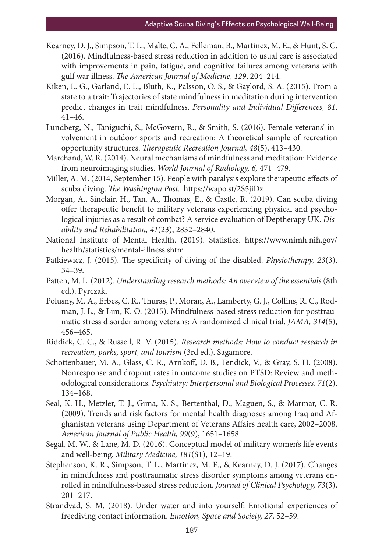- Kearney, D. J., Simpson, T. L., Malte, C. A., Felleman, B., Martinez, M. E., & Hunt, S. C. (2016). Mindfulness-based stress reduction in addition to usual care is associated with improvements in pain, fatigue, and cognitive failures among veterans with gulf war illness. *The American Journal of Medicine, 129*, 204–214.
- Kiken, L. G., Garland, E. L., Bluth, K., Palsson, O. S., & Gaylord, S. A. (2015). From a state to a trait: Trajectories of state mindfulness in meditation during intervention predict changes in trait mindfulness. *Personality and Individual Differences, 81*, 41–46.
- Lundberg, N., Taniguchi, S., McGovern, R., & Smith, S. (2016). Female veterans' involvement in outdoor sports and recreation: A theoretical sample of recreation opportunity structures. *Therapeutic Recreation Journal, 48*(5), 413–430.
- Marchand, W. R. (2014). Neural mechanisms of mindfulness and meditation: Evidence from neuroimaging studies. *World Journal of Radiology, 6,* 471–479.
- Miller, A. M. (2014, September 15). People with paralysis explore therapeutic effects of scuba diving. *The Washington Post*. https://wapo.st/2S5jiDz
- Morgan, A., Sinclair, H., Tan, A., Thomas, E., & Castle, R. (2019). Can scuba diving offer therapeutic benefit to military veterans experiencing physical and psychological injuries as a result of combat? A service evaluation of Deptherapy UK. *Disability and Rehabilitation, 41*(23), 2832–2840.
- National Institute of Mental Health. (2019). Statistics. https://www.nimh.nih.gov/ health/statistics/mental-illness.shtml
- Patkiewicz, J. (2015). The specificity of diving of the disabled. *Physiotherapy, 23*(3), 34–39.
- Patten, M. L. (2012). *Understanding research methods: An overview of the essentials* (8th ed.). Pyrczak.
- Polusny, M. A., Erbes, C. R., Thuras, P., Moran, A., Lamberty, G. J., Collins, R. C., Rodman, J. L., & Lim, K. O. (2015). Mindfulness-based stress reduction for posttraumatic stress disorder among veterans: A randomized clinical trial. *JAMA, 314*(5), 456–465.
- Riddick, C. C., & Russell, R. V. (2015). *Research methods: How to conduct research in recreation, parks, sport, and tourism* (3rd ed.). Sagamore.
- Schottenbauer, M. A., Glass, C. R., Arnkoff, D. B., Tendick, V., & Gray, S. H. (2008). Nonresponse and dropout rates in outcome studies on PTSD: Review and methodological considerations. *Psychiatry: Interpersonal and Biological Processes, 71*(2), 134–168.
- Seal, K. H., Metzler, T. J., Gima, K. S., Bertenthal, D., Maguen, S., & Marmar, C. R. (2009). Trends and risk factors for mental health diagnoses among Iraq and Afghanistan veterans using Department of Veterans Affairs health care, 2002–2008. *American Journal of Public Health, 99*(9), 1651–1658.
- Segal, M. W., & Lane, M. D. (2016). Conceptual model of military women's life events and well-being. *Military Medicine, 181*(S1), 12–19.
- Stephenson, K. R., Simpson, T. L., Martinez, M. E., & Kearney, D. J. (2017). Changes in mindfulness and posttraumatic stress disorder symptoms among veterans enrolled in mindfulness-based stress reduction. *Journal of Clinical Psychology, 73*(3), 201–217.
- Strandvad, S. M. (2018). Under water and into yourself: Emotional experiences of freediving contact information. *Emotion, Space and Society, 27*, 52–59.